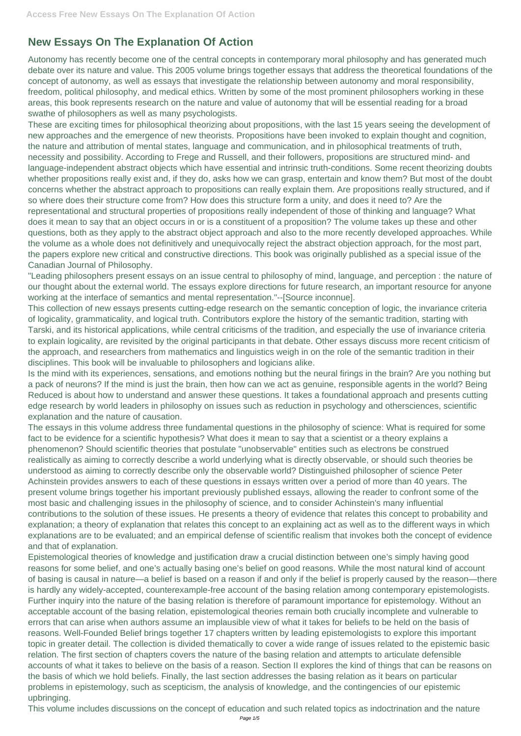## **New Essays On The Explanation Of Action**

Autonomy has recently become one of the central concepts in contemporary moral philosophy and has generated much debate over its nature and value. This 2005 volume brings together essays that address the theoretical foundations of the concept of autonomy, as well as essays that investigate the relationship between autonomy and moral responsibility, freedom, political philosophy, and medical ethics. Written by some of the most prominent philosophers working in these areas, this book represents research on the nature and value of autonomy that will be essential reading for a broad swathe of philosophers as well as many psychologists.

These are exciting times for philosophical theorizing about propositions, with the last 15 years seeing the development of new approaches and the emergence of new theorists. Propositions have been invoked to explain thought and cognition, the nature and attribution of mental states, language and communication, and in philosophical treatments of truth, necessity and possibility. According to Frege and Russell, and their followers, propositions are structured mind- and language-independent abstract objects which have essential and intrinsic truth-conditions. Some recent theorizing doubts whether propositions really exist and, if they do, asks how we can grasp, entertain and know them? But most of the doubt concerns whether the abstract approach to propositions can really explain them. Are propositions really structured, and if so where does their structure come from? How does this structure form a unity, and does it need to? Are the representational and structural properties of propositions really independent of those of thinking and language? What does it mean to say that an object occurs in or is a constituent of a proposition? The volume takes up these and other questions, both as they apply to the abstract object approach and also to the more recently developed approaches. While the volume as a whole does not definitively and unequivocally reject the abstract objection approach, for the most part, the papers explore new critical and constructive directions. This book was originally published as a special issue of the Canadian Journal of Philosophy.

"Leading philosophers present essays on an issue central to philosophy of mind, language, and perception : the nature of our thought about the external world. The essays explore directions for future research, an important resource for anyone working at the interface of semantics and mental representation."--[Source inconnue].

This collection of new essays presents cutting-edge research on the semantic conception of logic, the invariance criteria of logicality, grammaticality, and logical truth. Contributors explore the history of the semantic tradition, starting with Tarski, and its historical applications, while central criticisms of the tradition, and especially the use of invariance criteria to explain logicality, are revisited by the original participants in that debate. Other essays discuss more recent criticism of the approach, and researchers from mathematics and linguistics weigh in on the role of the semantic tradition in their disciplines. This book will be invaluable to philosophers and logicians alike.

Is the mind with its experiences, sensations, and emotions nothing but the neural firings in the brain? Are you nothing but a pack of neurons? If the mind is just the brain, then how can we act as genuine, responsible agents in the world? Being Reduced is about how to understand and answer these questions. It takes a foundational approach and presents cutting edge research by world leaders in philosophy on issues such as reduction in psychology and othersciences, scientific explanation and the nature of causation.

The essays in this volume address three fundamental questions in the philosophy of science: What is required for some fact to be evidence for a scientific hypothesis? What does it mean to say that a scientist or a theory explains a phenomenon? Should scientific theories that postulate "unobservable" entities such as electrons be construed realistically as aiming to correctly describe a world underlying what is directly observable, or should such theories be understood as aiming to correctly describe only the observable world? Distinguished philosopher of science Peter Achinstein provides answers to each of these questions in essays written over a period of more than 40 years. The present volume brings together his important previously published essays, allowing the reader to confront some of the most basic and challenging issues in the philosophy of science, and to consider Achinstein's many influential contributions to the solution of these issues. He presents a theory of evidence that relates this concept to probability and explanation; a theory of explanation that relates this concept to an explaining act as well as to the different ways in which explanations are to be evaluated; and an empirical defense of scientific realism that invokes both the concept of evidence and that of explanation. Epistemological theories of knowledge and justification draw a crucial distinction between one's simply having good reasons for some belief, and one's actually basing one's belief on good reasons. While the most natural kind of account of basing is causal in nature—a belief is based on a reason if and only if the belief is properly caused by the reason—there is hardly any widely-accepted, counterexample-free account of the basing relation among contemporary epistemologists. Further inquiry into the nature of the basing relation is therefore of paramount importance for epistemology. Without an acceptable account of the basing relation, epistemological theories remain both crucially incomplete and vulnerable to errors that can arise when authors assume an implausible view of what it takes for beliefs to be held on the basis of reasons. Well-Founded Belief brings together 17 chapters written by leading epistemologists to explore this important topic in greater detail. The collection is divided thematically to cover a wide range of issues related to the epistemic basic relation. The first section of chapters covers the nature of the basing relation and attempts to articulate defensible accounts of what it takes to believe on the basis of a reason. Section II explores the kind of things that can be reasons on the basis of which we hold beliefs. Finally, the last section addresses the basing relation as it bears on particular problems in epistemology, such as scepticism, the analysis of knowledge, and the contingencies of our epistemic upbringing.

This volume includes discussions on the concept of education and such related topics as indoctrination and the nature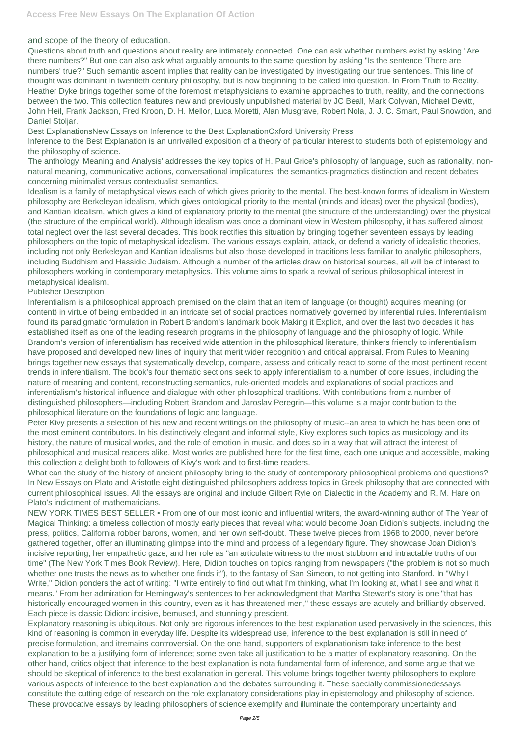and scope of the theory of education.

Questions about truth and questions about reality are intimately connected. One can ask whether numbers exist by asking "Are there numbers?" But one can also ask what arguably amounts to the same question by asking "Is the sentence 'There are numbers' true?" Such semantic ascent implies that reality can be investigated by investigating our true sentences. This line of thought was dominant in twentieth century philosophy, but is now beginning to be called into question. In From Truth to Reality, Heather Dyke brings together some of the foremost metaphysicians to examine approaches to truth, reality, and the connections between the two. This collection features new and previously unpublished material by JC Beall, Mark Colyvan, Michael Devitt, John Heil, Frank Jackson, Fred Kroon, D. H. Mellor, Luca Moretti, Alan Musgrave, Robert Nola, J. J. C. Smart, Paul Snowdon, and Daniel Stoljar.

Best ExplanationsNew Essays on Inference to the Best ExplanationOxford University Press

Inference to the Best Explanation is an unrivalled exposition of a theory of particular interest to students both of epistemology and the philosophy of science.

The anthology 'Meaning and Analysis' addresses the key topics of H. Paul Grice's philosophy of language, such as rationality, nonnatural meaning, communicative actions, conversational implicatures, the semantics-pragmatics distinction and recent debates concerning minimalist versus contextualist semantics.

Idealism is a family of metaphysical views each of which gives priority to the mental. The best-known forms of idealism in Western philosophy are Berkeleyan idealism, which gives ontological priority to the mental (minds and ideas) over the physical (bodies), and Kantian idealism, which gives a kind of explanatory priority to the mental (the structure of the understanding) over the physical (the structure of the empirical world). Although idealism was once a dominant view in Western philosophy, it has suffered almost total neglect over the last several decades. This book rectifies this situation by bringing together seventeen essays by leading philosophers on the topic of metaphysical idealism. The various essays explain, attack, or defend a variety of idealistic theories, including not only Berkeleyan and Kantian idealisms but also those developed in traditions less familiar to analytic philosophers, including Buddhism and Hassidic Judaism. Although a number of the articles draw on historical sources, all will be of interest to philosophers working in contemporary metaphysics. This volume aims to spark a revival of serious philosophical interest in metaphysical idealism.

## Publisher Description

Inferentialism is a philosophical approach premised on the claim that an item of language (or thought) acquires meaning (or content) in virtue of being embedded in an intricate set of social practices normatively governed by inferential rules. Inferentialism found its paradigmatic formulation in Robert Brandom's landmark book Making it Explicit, and over the last two decades it has established itself as one of the leading research programs in the philosophy of language and the philosophy of logic. While Brandom's version of inferentialism has received wide attention in the philosophical literature, thinkers friendly to inferentialism have proposed and developed new lines of inquiry that merit wider recognition and critical appraisal. From Rules to Meaning brings together new essays that systematically develop, compare, assess and critically react to some of the most pertinent recent trends in inferentialism. The book's four thematic sections seek to apply inferentialism to a number of core issues, including the nature of meaning and content, reconstructing semantics, rule-oriented models and explanations of social practices and inferentialism's historical influence and dialogue with other philosophical traditions. With contributions from a number of distinguished philosophers—including Robert Brandom and Jaroslav Peregrin—this volume is a major contribution to the philosophical literature on the foundations of logic and language.

Peter Kivy presents a selection of his new and recent writings on the philosophy of music--an area to which he has been one of the most eminent contributors. In his distinctively elegant and informal style, Kivy explores such topics as musicology and its history, the nature of musical works, and the role of emotion in music, and does so in a way that will attract the interest of philosophical and musical readers alike. Most works are published here for the first time, each one unique and accessible, making this collection a delight both to followers of Kivy's work and to first-time readers.

What can the study of the history of ancient philosophy bring to the study of contemporary philosophical problems and questions? In New Essays on Plato and Aristotle eight distinguished philosophers address topics in Greek philosophy that are connected with current philosophical issues. All the essays are original and include Gilbert Ryle on Dialectic in the Academy and R. M. Hare on Plato's indictment of mathematicians.

NEW YORK TIMES BEST SELLER • From one of our most iconic and influential writers, the award-winning author of The Year of Magical Thinking: a timeless collection of mostly early pieces that reveal what would become Joan Didion's subjects, including the press, politics, California robber barons, women, and her own self-doubt. These twelve pieces from 1968 to 2000, never before gathered together, offer an illuminating glimpse into the mind and process of a legendary figure. They showcase Joan Didion's incisive reporting, her empathetic gaze, and her role as "an articulate witness to the most stubborn and intractable truths of our time" (The New York Times Book Review). Here, Didion touches on topics ranging from newspapers ("the problem is not so much whether one trusts the news as to whether one finds it"), to the fantasy of San Simeon, to not getting into Stanford. In "Why I Write," Didion ponders the act of writing: "I write entirely to find out what I'm thinking, what I'm looking at, what I see and what it means." From her admiration for Hemingway's sentences to her acknowledgment that Martha Stewart's story is one "that has historically encouraged women in this country, even as it has threatened men," these essays are acutely and brilliantly observed. Each piece is classic Didion: incisive, bemused, and stunningly prescient. Explanatory reasoning is ubiquitous. Not only are rigorous inferences to the best explanation used pervasively in the sciences, this kind of reasoning is common in everyday life. Despite its widespread use, inference to the best explanation is still in need of precise formulation, and itremains controversial. On the one hand, supporters of explanationism take inference to the best explanation to be a justifying form of inference; some even take all justification to be a matter of explanatory reasoning. On the other hand, critics object that inference to the best explanation is nota fundamental form of inference, and some argue that we should be skeptical of inference to the best explanation in general. This volume brings together twenty philosophers to explore various aspects of inference to the best explanation and the debates surrounding it. These specially commissionedessays constitute the cutting edge of research on the role explanatory considerations play in epistemology and philosophy of science. These provocative essays by leading philosophers of science exemplify and illuminate the contemporary uncertainty and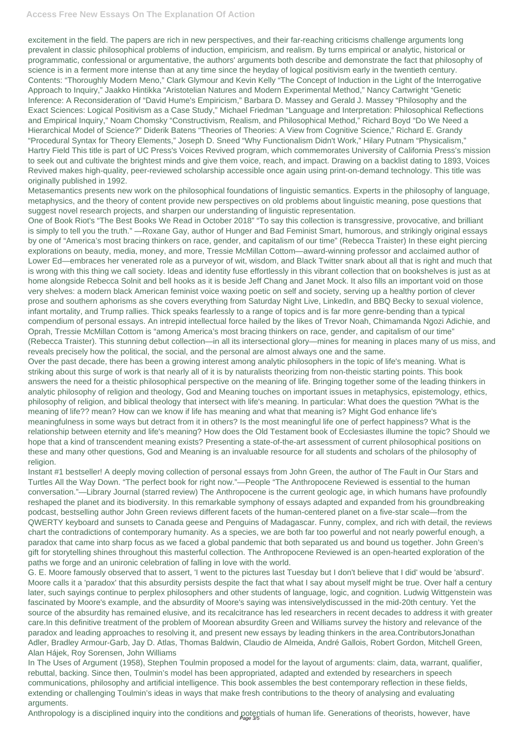## **Access Free New Essays On The Explanation Of Action**

excitement in the field. The papers are rich in new perspectives, and their far-reaching criticisms challenge arguments long prevalent in classic philosophical problems of induction, empiricism, and realism. By turns empirical or analytic, historical or programmatic, confessional or argumentative, the authors' arguments both describe and demonstrate the fact that philosophy of science is in a ferment more intense than at any time since the heyday of logical positivism early in the twentieth century. Contents: "Thoroughly Modern Meno," Clark Glymour and Kevin Kelly "The Concept of Induction in the Light of the Interrogative Approach to Inquiry," Jaakko Hintikka "Aristotelian Natures and Modern Experimental Method," Nancy Cartwright "Genetic Inference: A Reconsideration of "David Hume's Empiricism," Barbara D. Massey and Gerald J. Massey "Philosophy and the Exact Sciences: Logical Positivism as a Case Study," Michael Friedman "Language and Interpretation: Philosophical Reflections and Empirical Inquiry," Noam Chomsky "Constructivism, Realism, and Philosophical Method," Richard Boyd "Do We Need a Hierarchical Model of Science?" Diderik Batens "Theories of Theories: A View from Cognitive Science," Richard E. Grandy "Procedural Syntax for Theory Elements," Joseph D. Sneed "Why Functionalism Didn't Work," Hilary Putnam "Physicalism," Hartry Field This title is part of UC Press's Voices Revived program, which commemorates University of California Press's mission to seek out and cultivate the brightest minds and give them voice, reach, and impact. Drawing on a backlist dating to 1893, Voices Revived makes high-quality, peer-reviewed scholarship accessible once again using print-on-demand technology. This title was originally published in 1992.

Metasemantics presents new work on the philosophical foundations of linguistic semantics. Experts in the philosophy of language, metaphysics, and the theory of content provide new perspectives on old problems about linguistic meaning, pose questions that suggest novel research projects, and sharpen our understanding of linguistic representation.

One of Book Riot's "The Best Books We Read in October 2018" "To say this collection is transgressive, provocative, and brilliant is simply to tell you the truth." —Roxane Gay, author of Hunger and Bad Feminist Smart, humorous, and strikingly original essays by one of "America's most bracing thinkers on race, gender, and capitalism of our time" (Rebecca Traister) In these eight piercing explorations on beauty, media, money, and more, Tressie McMillan Cottom—award-winning professor and acclaimed author of Lower Ed—embraces her venerated role as a purveyor of wit, wisdom, and Black Twitter snark about all that is right and much that is wrong with this thing we call society. Ideas and identity fuse effortlessly in this vibrant collection that on bookshelves is just as at home alongside Rebecca Solnit and bell hooks as it is beside Jeff Chang and Janet Mock. It also fills an important void on those very shelves: a modern black American feminist voice waxing poetic on self and society, serving up a healthy portion of clever prose and southern aphorisms as she covers everything from Saturday Night Live, LinkedIn, and BBQ Becky to sexual violence, infant mortality, and Trump rallies. Thick speaks fearlessly to a range of topics and is far more genre-bending than a typical compendium of personal essays. An intrepid intellectual force hailed by the likes of Trevor Noah, Chimamanda Ngozi Adichie, and Oprah, Tressie McMillan Cottom is "among America's most bracing thinkers on race, gender, and capitalism of our time" (Rebecca Traister). This stunning debut collection—in all its intersectional glory—mines for meaning in places many of us miss, and reveals precisely how the political, the social, and the personal are almost always one and the same.

Over the past decade, there has been a growing interest among analytic philosophers in the topic of life's meaning. What is striking about this surge of work is that nearly all of it is by naturalists theorizing from non-theistic starting points. This book answers the need for a theistic philosophical perspective on the meaning of life. Bringing together some of the leading thinkers in analytic philosophy of religion and theology, God and Meaning touches on important issues in metaphysics, epistemology, ethics, philosophy of religion, and biblical theology that intersect with life's meaning. In particular: What does the question ?What is the meaning of life?? mean? How can we know if life has meaning and what that meaning is? Might God enhance life's meaningfulness in some ways but detract from it in others? Is the most meaningful life one of perfect happiness? What is the relationship between eternity and life's meaning? How does the Old Testament book of Ecclesiastes illumine the topic? Should we hope that a kind of transcendent meaning exists? Presenting a state-of-the-art assessment of current philosophical positions on these and many other questions, God and Meaning is an invaluable resource for all students and scholars of the philosophy of religion.

Instant #1 bestseller! A deeply moving collection of personal essays from John Green, the author of The Fault in Our Stars and Turtles All the Way Down. "The perfect book for right now."—People "The Anthropocene Reviewed is essential to the human conversation."—Library Journal (starred review) The Anthropocene is the current geologic age, in which humans have profoundly reshaped the planet and its biodiversity. In this remarkable symphony of essays adapted and expanded from his groundbreaking podcast, bestselling author John Green reviews different facets of the human-centered planet on a five-star scale—from the QWERTY keyboard and sunsets to Canada geese and Penguins of Madagascar. Funny, complex, and rich with detail, the reviews chart the contradictions of contemporary humanity. As a species, we are both far too powerful and not nearly powerful enough, a paradox that came into sharp focus as we faced a global pandemic that both separated us and bound us together. John Green's gift for storytelling shines throughout this masterful collection. The Anthropocene Reviewed is an open-hearted exploration of the paths we forge and an unironic celebration of falling in love with the world. G. E. Moore famously observed that to assert, 'I went to the pictures last Tuesday but I don't believe that I did' would be 'absurd'. Moore calls it a 'paradox' that this absurdity persists despite the fact that what I say about myself might be true. Over half a century later, such sayings continue to perplex philosophers and other students of language, logic, and cognition. Ludwig Wittgenstein was fascinated by Moore's example, and the absurdity of Moore's saying was intensivelydiscussed in the mid-20th century. Yet the source of the absurdity has remained elusive, and its recalcitrance has led researchers in recent decades to address it with greater care.In this definitive treatment of the problem of Moorean absurdity Green and Williams survey the history and relevance of the paradox and leading approaches to resolving it, and present new essays by leading thinkers in the area.ContributorsJonathan Adler, Bradley Armour-Garb, Jay D. Atlas, Thomas Baldwin, Claudio de Almeida, André Gallois, Robert Gordon, Mitchell Green, Alan Hájek, Roy Sorensen, John Williams In The Uses of Argument (1958), Stephen Toulmin proposed a model for the layout of arguments: claim, data, warrant, qualifier, rebuttal, backing. Since then, Toulmin's model has been appropriated, adapted and extended by researchers in speech communications, philosophy and artificial intelligence. This book assembles the best contemporary reflection in these fields, extending or challenging Toulmin's ideas in ways that make fresh contributions to the theory of analysing and evaluating arguments.

Anthropology is a disciplined inquiry into the conditions and potentials of human life. Generations of theorists, however, have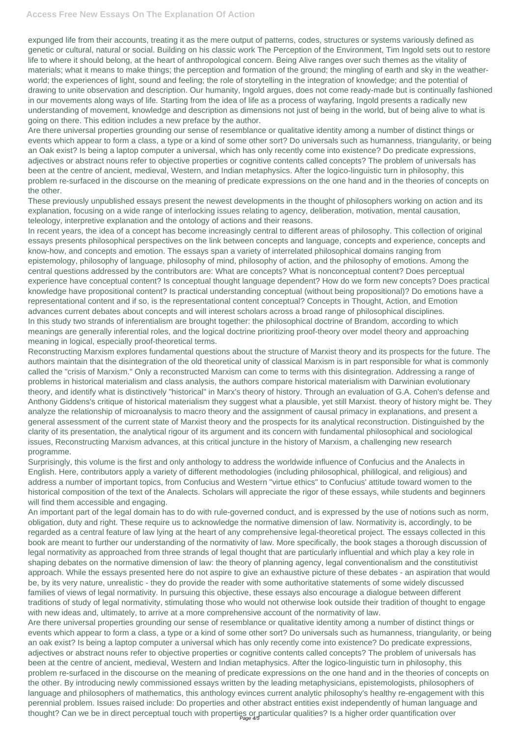expunged life from their accounts, treating it as the mere output of patterns, codes, structures or systems variously defined as genetic or cultural, natural or social. Building on his classic work The Perception of the Environment, Tim Ingold sets out to restore life to where it should belong, at the heart of anthropological concern. Being Alive ranges over such themes as the vitality of materials; what it means to make things; the perception and formation of the ground; the mingling of earth and sky in the weatherworld; the experiences of light, sound and feeling; the role of storytelling in the integration of knowledge; and the potential of drawing to unite observation and description. Our humanity, Ingold argues, does not come ready-made but is continually fashioned in our movements along ways of life. Starting from the idea of life as a process of wayfaring, Ingold presents a radically new understanding of movement, knowledge and description as dimensions not just of being in the world, but of being alive to what is going on there. This edition includes a new preface by the author.

Are there universal properties grounding our sense of resemblance or qualitative identity among a number of distinct things or events which appear to form a class, a type or a kind of some other sort? Do universals such as humanness, triangularity, or being an Oak exist? Is being a laptop computer a universal, which has only recently come into existence? Do predicate expressions, adjectives or abstract nouns refer to objective properties or cognitive contents called concepts? The problem of universals has been at the centre of ancient, medieval, Western, and Indian metaphysics. After the logico-linguistic turn in philosophy, this problem re-surfaced in the discourse on the meaning of predicate expressions on the one hand and in the theories of concepts on the other.

These previously unpublished essays present the newest developments in the thought of philosophers working on action and its explanation, focusing on a wide range of interlocking issues relating to agency, deliberation, motivation, mental causation, teleology, interpretive explanation and the ontology of actions and their reasons.

In recent years, the idea of a concept has become increasingly central to different areas of philosophy. This collection of original essays presents philosophical perspectives on the link between concepts and language, concepts and experience, concepts and know-how, and concepts and emotion. The essays span a variety of interrelated philosophical domains ranging from epistemology, philosophy of language, philosophy of mind, philosophy of action, and the philosophy of emotions. Among the central questions addressed by the contributors are: What are concepts? What is nonconceptual content? Does perceptual experience have conceptual content? Is conceptual thought language dependent? How do we form new concepts? Does practical knowledge have propositional content? Is practical understanding conceptual (without being propositional)? Do emotions have a representational content and if so, is the representational content conceptual? Concepts in Thought, Action, and Emotion advances current debates about concepts and will interest scholars across a broad range of philosophical disciplines. In this study two strands of inferentialism are brought together: the philosophical doctrine of Brandom, according to which meanings are generally inferential roles, and the logical doctrine prioritizing proof-theory over model theory and approaching meaning in logical, especially proof-theoretical terms.

Reconstructing Marxism explores fundamental questions about the structure of Marxist theory and its prospects for the future. The authors maintain that the disintegration of the old theoretical unity of classical Marxism is in part responsible for what is commonly called the "crisis of Marxism." Only a reconstructed Marxism can come to terms with this disintegration. Addressing a range of problems in historical materialism and class analysis, the authors compare historical materialism with Darwinian evolutionary theory, and identify what is distinctively "historical" in Marx's theory of history. Through an evaluation of G.A. Cohen's defense and Anthony Giddens's critique of historical materialism they suggest what a plausible, yet still Marxist. theory of history might be. They analyze the relationship of microanalysis to macro theory and the assignment of causal primacy in explanations, and present a general assessment of the current state of Marxist theory and the prospects for its analytical reconstruction. Distinguished by the clarity of its presentation, the analytical rigour of its argument and its concern with fundamental philosophical and sociological issues, Reconstructing Marxism advances, at this critical juncture in the history of Marxism, a challenging new research programme.

Surprisingly, this volume is the first and only anthology to address the worldwide influence of Confucius and the Analects in English. Here, contributors apply a variety of different methodologies (including philosophical, phililogical, and religious) and address a number of important topics, from Confucius and Western "virtue ethics" to Confucius' attitude toward women to the historical composition of the text of the Analects. Scholars will appreciate the rigor of these essays, while students and beginners will find them accessible and engaging.

An important part of the legal domain has to do with rule-governed conduct, and is expressed by the use of notions such as norm, obligation, duty and right. These require us to acknowledge the normative dimension of law. Normativity is, accordingly, to be regarded as a central feature of law lying at the heart of any comprehensive legal-theoretical project. The essays collected in this book are meant to further our understanding of the normativity of law. More specifically, the book stages a thorough discussion of legal normativity as approached from three strands of legal thought that are particularly influential and which play a key role in shaping debates on the normative dimension of law: the theory of planning agency, legal conventionalism and the constitutivist approach. While the essays presented here do not aspire to give an exhaustive picture of these debates - an aspiration that would be, by its very nature, unrealistic - they do provide the reader with some authoritative statements of some widely discussed families of views of legal normativity. In pursuing this objective, these essays also encourage a dialogue between different traditions of study of legal normativity, stimulating those who would not otherwise look outside their tradition of thought to engage with new ideas and, ultimately, to arrive at a more comprehensive account of the normativity of law. Are there universal properties grounding our sense of resemblance or qualitative identity among a number of distinct things or events which appear to form a class, a type or a kind of some other sort? Do universals such as humanness, triangularity, or being an oak exist? Is being a laptop computer a universal which has only recently come into existence? Do predicate expressions, adjectives or abstract nouns refer to objective properties or cognitive contents called concepts? The problem of universals has been at the centre of ancient, medieval, Western and Indian metaphysics. After the logico-linguistic turn in philosophy, this problem re-surfaced in the discourse on the meaning of predicate expressions on the one hand and in the theories of concepts on the other. By introducing newly commissioned essays written by the leading metaphysicians, epistemologists, philosophers of language and philosophers of mathematics, this anthology evinces current analytic philosophy's healthy re-engagement with this perennial problem. Issues raised include: Do properties and other abstract entities exist independently of human language and thought? Can we be in direct perceptual touch with properties or particular qualities? Is a higher order quantification over Page 4/5